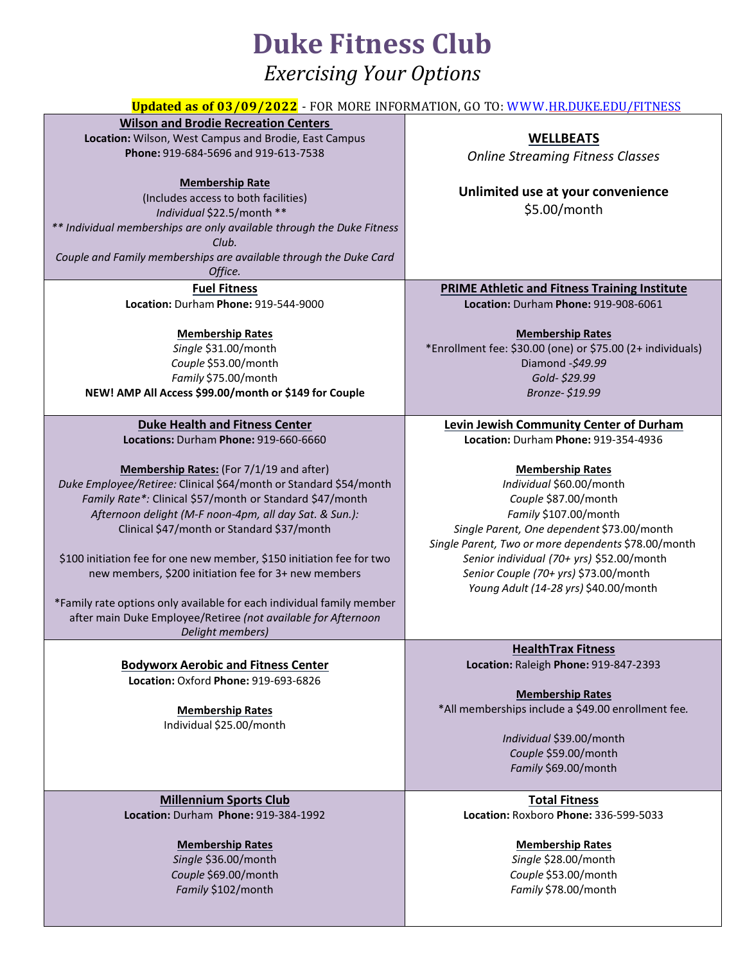# **Duke Fitness Club**

### *Exercising Your Options*

| <b>Updated as of 03/09/2022</b> - FOR MORE INFORMATION, GO TO: WWW.HR.DUKE.EDU/FITNESS |                                                            |
|----------------------------------------------------------------------------------------|------------------------------------------------------------|
| <b>Wilson and Brodie Recreation Centers</b>                                            |                                                            |
| Location: Wilson, West Campus and Brodie, East Campus                                  | <b>WELLBEATS</b>                                           |
| Phone: 919-684-5696 and 919-613-7538                                                   | <b>Online Streaming Fitness Classes</b>                    |
|                                                                                        |                                                            |
| <b>Membership Rate</b>                                                                 |                                                            |
| (Includes access to both facilities)                                                   | Unlimited use at your convenience                          |
| Individual \$22.5/month **                                                             | \$5.00/month                                               |
| ** Individual memberships are only available through the Duke Fitness                  |                                                            |
| Club.                                                                                  |                                                            |
| Couple and Family memberships are available through the Duke Card                      |                                                            |
| Office.                                                                                |                                                            |
| <b>Fuel Fitness</b>                                                                    | <b>PRIME Athletic and Fitness Training Institute</b>       |
| Location: Durham Phone: 919-544-9000                                                   | Location: Durham Phone: 919-908-6061                       |
|                                                                                        |                                                            |
| <b>Membership Rates</b>                                                                | <b>Membership Rates</b>                                    |
| Single \$31.00/month                                                                   | *Enrollment fee: \$30.00 (one) or \$75.00 (2+ individuals) |
| Couple \$53.00/month                                                                   | Diamond -\$49.99                                           |
| Family \$75.00/month                                                                   | Gold-\$29.99                                               |
| NEW! AMP All Access \$99.00/month or \$149 for Couple                                  | Bronze-\$19.99                                             |
|                                                                                        |                                                            |
| <b>Duke Health and Fitness Center</b>                                                  | Levin Jewish Community Center of Durham                    |
| Locations: Durham Phone: 919-660-6660                                                  | Location: Durham Phone: 919-354-4936                       |
|                                                                                        |                                                            |
| Membership Rates: (For 7/1/19 and after)                                               | <b>Membership Rates</b>                                    |
| Duke Employee/Retiree: Clinical \$64/month or Standard \$54/month                      | Individual \$60.00/month                                   |
| Family Rate*: Clinical \$57/month or Standard \$47/month                               | Couple \$87.00/month                                       |
| Afternoon delight (M-F noon-4pm, all day Sat. & Sun.):                                 | Family \$107.00/month                                      |
| Clinical \$47/month or Standard \$37/month                                             | Single Parent, One dependent \$73.00/month                 |
|                                                                                        | Single Parent, Two or more dependents \$78.00/month        |
| \$100 initiation fee for one new member, \$150 initiation fee for two                  | Senior individual (70+ yrs) \$52.00/month                  |
| new members, \$200 initiation fee for 3+ new members                                   | Senior Couple (70+ yrs) \$73.00/month                      |
|                                                                                        | Young Adult (14-28 yrs) \$40.00/month                      |
| *Family rate options only available for each individual family member                  |                                                            |
| after main Duke Employee/Retiree (not available for Afternoon                          |                                                            |
| Delight members)                                                                       |                                                            |
|                                                                                        | <b>HealthTrax Fitness</b>                                  |
| <b>Bodyworx Aerobic and Fitness Center</b>                                             | Location: Raleigh Phone: 919-847-2393                      |
| Location: Oxford Phone: 919-693-6826                                                   |                                                            |
|                                                                                        | <b>Membership Rates</b>                                    |
| <b>Membership Rates</b>                                                                | *All memberships include a \$49.00 enrollment fee.         |
| Individual \$25.00/month                                                               |                                                            |
|                                                                                        | Individual \$39.00/month                                   |
|                                                                                        | Couple \$59.00/month                                       |
|                                                                                        | Family \$69.00/month                                       |
|                                                                                        |                                                            |
| <b>Millennium Sports Club</b>                                                          | <b>Total Fitness</b>                                       |
| Location: Durham Phone: 919-384-1992                                                   | Location: Roxboro Phone: 336-599-5033                      |
|                                                                                        |                                                            |
| <b>Membership Rates</b>                                                                | <b>Membership Rates</b>                                    |
| Single \$36.00/month                                                                   | Single \$28.00/month                                       |

*Couple* \$69.00/month *Family* \$102/month

*Couple* \$53.00/month *Family* \$78.00/month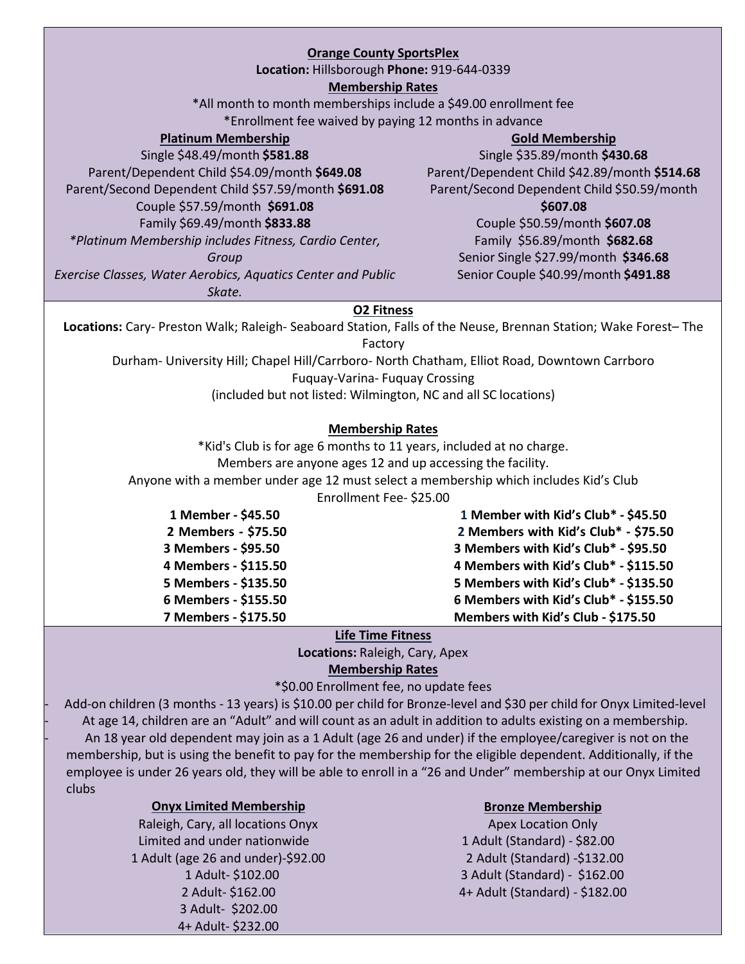### **Orange County SportsPlex**

**Location:** Hillsborough **Phone:** 919-644-0339

#### **Membership Rates**

\*All month to month memberships include a \$49.00 enrollment fee \*Enrollment fee waived by paying 12 months in advance

#### **Platinum Membership**

Single \$48.49/month **\$581.88** Parent/Dependent Child \$54.09/month **\$649.08** Parent/Second Dependent Child \$57.59/month **\$691.08** Couple \$57.59/month **\$691.08** Family \$69.49/month **\$833.88** *\*Platinum Membership includes Fitness, Cardio Center,*

#### **Gold Membership**

Single \$35.89/month **\$430.68** Parent/Dependent Child \$42.89/month **\$514.68** Parent/Second Dependent Child \$50.59/month

#### **\$607.08**

Couple \$50.59/month **\$607.08** Family \$56.89/month **\$682.68** Senior Single \$27.99/month **\$346.68** Senior Couple \$40.99/month **\$491.88**

#### *Group*

*Exercise Classes, Water Aerobics, Aquatics Center and Public*

*Skate.*

#### **O2 Fitness**

**Locations:** Cary- Preston Walk; Raleigh- Seaboard Station, Falls of the Neuse, Brennan Station; Wake Forest– The Factory

Durham- University Hill; Chapel Hill/Carrboro- North Chatham, Elliot Road, Downtown Carrboro

Fuquay-Varina- Fuquay Crossing

(included but not listed: Wilmington, NC and all SC locations)

### **Membership Rates**

\*Kid's Club is for age 6 months to 11 years, included at no charge. Members are anyone ages 12 and up accessing the facility.

Anyone with a member under age 12 must select a membership which includes Kid's Club

Enrollment Fee- \$25.00

| 1 Member - \$45.50   | 1 Member with Kid's Club* - \$45.50   |
|----------------------|---------------------------------------|
| 2 Members - \$75.50  | 2 Members with Kid's Club* - \$75.50  |
| 3 Members - \$95.50  | 3 Members with Kid's Club* - \$95.50  |
| 4 Members - \$115.50 | 4 Members with Kid's Club* - \$115.50 |
| 5 Members - \$135.50 | 5 Members with Kid's Club* - \$135.50 |
| 6 Members - \$155.50 | 6 Members with Kid's Club* - \$155.50 |
| 7 Members - \$175.50 | Members with Kid's Club - \$175.50    |
|                      |                                       |

### **Life Time Fitness**

**Locations:** Raleigh, Cary, Apex **Membership Rates**

\*\$0.00 Enrollment fee, no update fees

- Add-on children (3 months - 13 years) is \$10.00 per child for Bronze-level and \$30 per child for Onyx Limited-level At age 14, children are an "Adult" and will count as an adult in addition to adults existing on a membership. - An 18 year old dependent may join as a 1 Adult (age 26 and under) if the employee/caregiver is not on the membership, but is using the benefit to pay for the membership for the eligible dependent. Additionally, if the employee is under 26 years old, they will be able to enroll in a "26 and Under" membership at our Onyx Limited clubs

### **Onyx Limited Membership Bronze Membership**

Limited and under nationwide 1 Adult (Standard) - \$82.00 1 Adult (age 26 and under)-\$92.00 2 Adult (Standard) -\$132.00 3 Adult- \$202.00 4+ Adult- \$232.00

Raleigh, Cary, all locations Onyx Apex Location Only 1 Adult- \$102.00 3 Adult (Standard) - \$162.00 2 Adult- \$162.00 4+ Adult (Standard) - \$182.00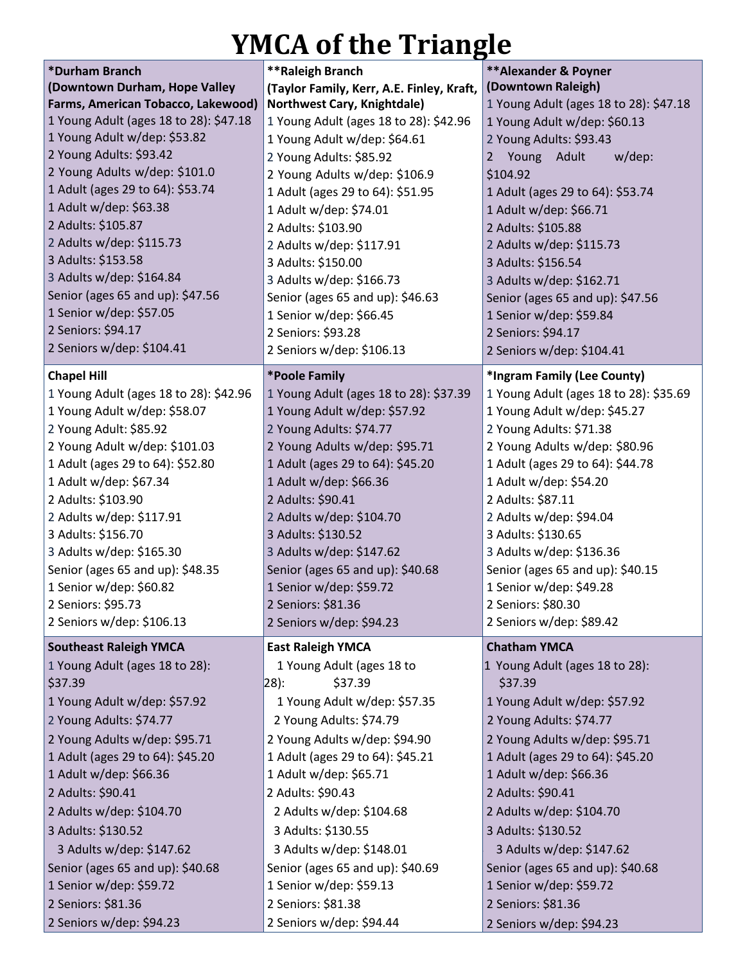# **YMCA of the Triangle**

| *Durham Branch                                          | **Raleigh Branch                               | <b>**Alexander &amp; Poyner</b>                |  |  |  |
|---------------------------------------------------------|------------------------------------------------|------------------------------------------------|--|--|--|
| (Downtown Durham, Hope Valley                           | (Taylor Family, Kerr, A.E. Finley, Kraft,      | (Downtown Raleigh)                             |  |  |  |
| Farms, American Tobacco, Lakewood)                      | Northwest Cary, Knightdale)                    | 1 Young Adult (ages 18 to 28): \$47.18         |  |  |  |
| 1 Young Adult (ages 18 to 28): \$47.18                  | 1 Young Adult (ages 18 to 28): \$42.96         | 1 Young Adult w/dep: \$60.13                   |  |  |  |
| 1 Young Adult w/dep: \$53.82<br>2 Young Adults: \$93.42 | 1 Young Adult w/dep: \$64.61                   | 2 Young Adults: \$93.43                        |  |  |  |
| 2 Young Adults w/dep: \$101.0                           | 2 Young Adults: \$85.92                        | Young<br>Adult<br>w/dep:<br>2                  |  |  |  |
| 1 Adult (ages 29 to 64): \$53.74                        | 2 Young Adults w/dep: \$106.9                  | \$104.92                                       |  |  |  |
| 1 Adult w/dep: \$63.38                                  | 1 Adult (ages 29 to 64): \$51.95               | 1 Adult (ages 29 to 64): \$53.74               |  |  |  |
| 2 Adults: \$105.87                                      | 1 Adult w/dep: \$74.01                         | 1 Adult w/dep: \$66.71                         |  |  |  |
| 2 Adults w/dep: \$115.73                                | 2 Adults: \$103.90                             | 2 Adults: \$105.88                             |  |  |  |
| 3 Adults: \$153.58                                      | 2 Adults w/dep: \$117.91<br>3 Adults: \$150.00 | 2 Adults w/dep: \$115.73<br>3 Adults: \$156.54 |  |  |  |
| 3 Adults w/dep: \$164.84                                | 3 Adults w/dep: \$166.73                       | 3 Adults w/dep: \$162.71                       |  |  |  |
| Senior (ages 65 and up): \$47.56                        | Senior (ages 65 and up): \$46.63               | Senior (ages 65 and up): \$47.56               |  |  |  |
| 1 Senior w/dep: \$57.05                                 | 1 Senior w/dep: \$66.45                        | 1 Senior w/dep: \$59.84                        |  |  |  |
| 2 Seniors: \$94.17                                      | 2 Seniors: \$93.28                             | 2 Seniors: \$94.17                             |  |  |  |
| 2 Seniors w/dep: \$104.41                               | 2 Seniors w/dep: \$106.13                      | 2 Seniors w/dep: \$104.41                      |  |  |  |
|                                                         |                                                |                                                |  |  |  |
| <b>Chapel Hill</b>                                      | *Poole Family                                  | *Ingram Family (Lee County)                    |  |  |  |
| 1 Young Adult (ages 18 to 28): \$42.96                  | 1 Young Adult (ages 18 to 28): \$37.39         | 1 Young Adult (ages 18 to 28): \$35.69         |  |  |  |
| 1 Young Adult w/dep: \$58.07                            | 1 Young Adult w/dep: \$57.92                   | 1 Young Adult w/dep: \$45.27                   |  |  |  |
| 2 Young Adult: \$85.92                                  | 2 Young Adults: \$74.77                        | 2 Young Adults: \$71.38                        |  |  |  |
| 2 Young Adult w/dep: \$101.03                           | 2 Young Adults w/dep: \$95.71                  | 2 Young Adults w/dep: \$80.96                  |  |  |  |
| 1 Adult (ages 29 to 64): \$52.80                        | 1 Adult (ages 29 to 64): \$45.20               | 1 Adult (ages 29 to 64): \$44.78               |  |  |  |
| 1 Adult w/dep: \$67.34                                  | 1 Adult w/dep: \$66.36                         | 1 Adult w/dep: \$54.20                         |  |  |  |
| 2 Adults: \$103.90                                      | 2 Adults: \$90.41                              | 2 Adults: \$87.11                              |  |  |  |
| 2 Adults w/dep: \$117.91                                | 2 Adults w/dep: \$104.70                       | 2 Adults w/dep: \$94.04                        |  |  |  |
| 3 Adults: \$156.70                                      | 3 Adults: \$130.52                             | 3 Adults: \$130.65                             |  |  |  |
| 3 Adults w/dep: \$165.30                                | 3 Adults w/dep: \$147.62                       | 3 Adults w/dep: \$136.36                       |  |  |  |
| Senior (ages 65 and up): \$48.35                        | Senior (ages 65 and up): \$40.68               | Senior (ages 65 and up): \$40.15               |  |  |  |
| 1 Senior w/dep: \$60.82                                 | 1 Senior w/dep: \$59.72                        | 1 Senior w/dep: \$49.28                        |  |  |  |
| 2 Seniors: \$95.73                                      | 2 Seniors: \$81.36                             | 2 Seniors: \$80.30                             |  |  |  |
| 2 Seniors w/dep: \$106.13                               | 2 Seniors w/dep: \$94.23                       | 2 Seniors w/dep: \$89.42                       |  |  |  |
| <b>Southeast Raleigh YMCA</b>                           | <b>East Raleigh YMCA</b>                       | <b>Chatham YMCA</b>                            |  |  |  |
| 1 Young Adult (ages 18 to 28):<br>\$37.39               | 1 Young Adult (ages 18 to<br>28):<br>\$37.39   | 1 Young Adult (ages 18 to 28):<br>\$37.39      |  |  |  |
| 1 Young Adult w/dep: \$57.92                            | 1 Young Adult w/dep: \$57.35                   | 1 Young Adult w/dep: \$57.92                   |  |  |  |
| 2 Young Adults: \$74.77                                 | 2 Young Adults: \$74.79                        | 2 Young Adults: \$74.77                        |  |  |  |
| 2 Young Adults w/dep: \$95.71                           | 2 Young Adults w/dep: \$94.90                  | 2 Young Adults w/dep: \$95.71                  |  |  |  |
| 1 Adult (ages 29 to 64): \$45.20                        | 1 Adult (ages 29 to 64): \$45.21               | 1 Adult (ages 29 to 64): \$45.20               |  |  |  |
| 1 Adult w/dep: \$66.36                                  | 1 Adult w/dep: \$65.71                         | 1 Adult w/dep: \$66.36                         |  |  |  |
| 2 Adults: \$90.41                                       | 2 Adults: \$90.43                              | 2 Adults: \$90.41                              |  |  |  |
| 2 Adults w/dep: \$104.70                                | 2 Adults w/dep: \$104.68                       | 2 Adults w/dep: \$104.70                       |  |  |  |
| 3 Adults: \$130.52                                      | 3 Adults: \$130.55                             | 3 Adults: \$130.52                             |  |  |  |
| 3 Adults w/dep: \$147.62                                | 3 Adults w/dep: \$148.01                       | 3 Adults w/dep: \$147.62                       |  |  |  |
| Senior (ages 65 and up): \$40.68                        | Senior (ages 65 and up): \$40.69               | Senior (ages 65 and up): \$40.68               |  |  |  |
| 1 Senior w/dep: \$59.72                                 | 1 Senior w/dep: \$59.13                        | 1 Senior w/dep: \$59.72                        |  |  |  |
| 2 Seniors: \$81.36                                      | 2 Seniors: \$81.38                             | 2 Seniors: \$81.36                             |  |  |  |
| 2 Seniors w/dep: \$94.23                                | 2 Seniors w/dep: \$94.44                       | 2 Seniors w/dep: \$94.23                       |  |  |  |